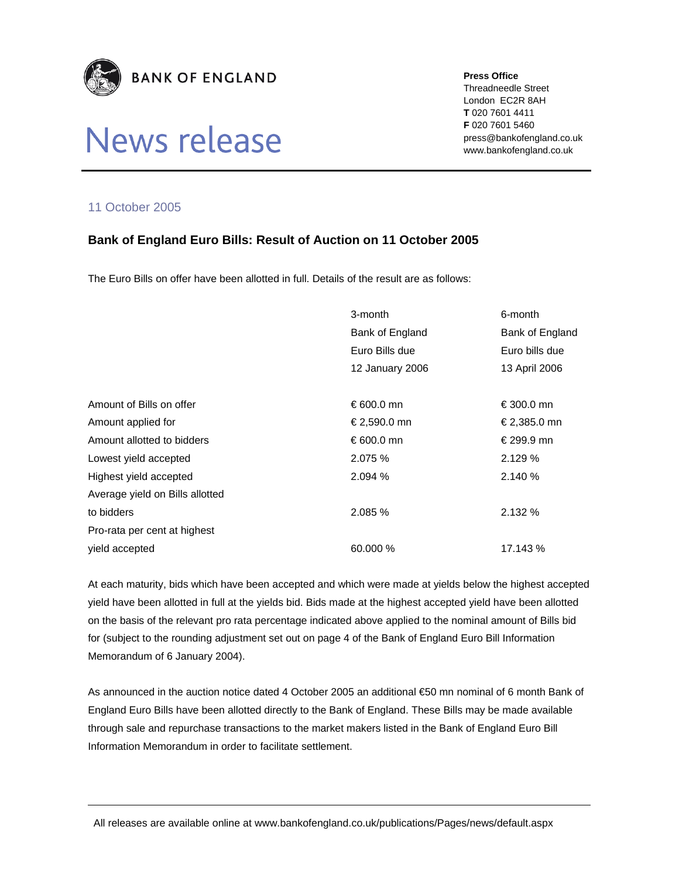

## News release

**Press Office** 

Threadneedle Street London EC2R 8AH **T** 020 7601 4411 **F** 020 7601 5460 press@bankofengland.co.uk www.bankofengland.co.uk

## 11 October 2005

## **Bank of England Euro Bills: Result of Auction on 11 October 2005**

The Euro Bills on offer have been allotted in full. Details of the result are as follows:

|                                 | 3-month         | 6-month         |
|---------------------------------|-----------------|-----------------|
|                                 | Bank of England | Bank of England |
|                                 | Euro Bills due  | Euro bills due  |
|                                 | 12 January 2006 | 13 April 2006   |
|                                 |                 |                 |
| Amount of Bills on offer        | € 600.0 mn      | € 300.0 mn      |
| Amount applied for              | € 2,590.0 mn    | € 2,385.0 mn    |
| Amount allotted to bidders      | € 600.0 mn      | € 299.9 mn      |
| Lowest yield accepted           | 2.075%          | 2.129%          |
| Highest yield accepted          | 2.094 %         | 2.140%          |
| Average yield on Bills allotted |                 |                 |
| to bidders                      | 2.085%          | 2.132 %         |
| Pro-rata per cent at highest    |                 |                 |
| vield accepted                  | 60.000 %        | 17.143 %        |

At each maturity, bids which have been accepted and which were made at yields below the highest accepted yield have been allotted in full at the yields bid. Bids made at the highest accepted yield have been allotted on the basis of the relevant pro rata percentage indicated above applied to the nominal amount of Bills bid for (subject to the rounding adjustment set out on page 4 of the Bank of England Euro Bill Information Memorandum of 6 January 2004).

As announced in the auction notice dated 4 October 2005 an additional €50 mn nominal of 6 month Bank of England Euro Bills have been allotted directly to the Bank of England. These Bills may be made available through sale and repurchase transactions to the market makers listed in the Bank of England Euro Bill Information Memorandum in order to facilitate settlement.